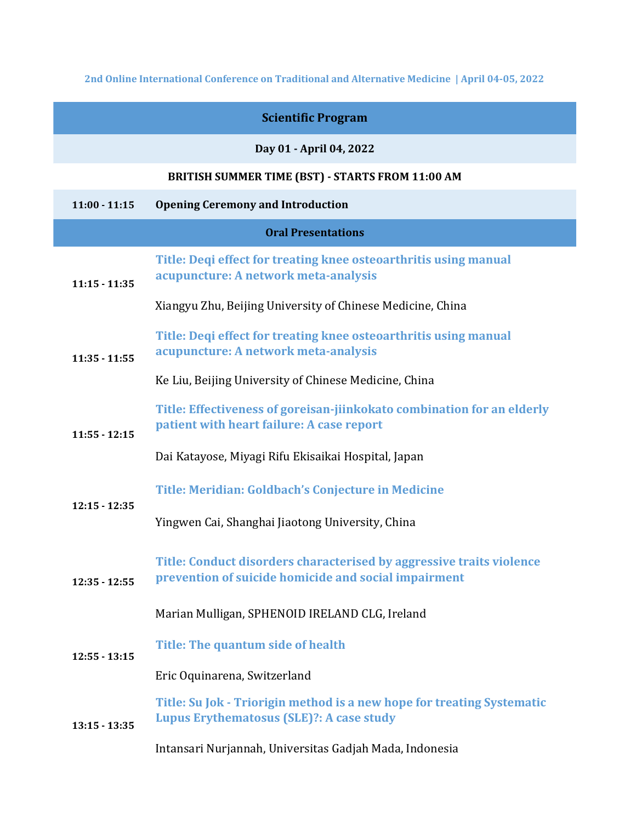**2nd Online International Conference on Traditional and Alternative Medicine | April 04-05, 2022** 

| <b>Scientific Program</b> |                                                                                                                              |  |
|---------------------------|------------------------------------------------------------------------------------------------------------------------------|--|
|                           | Day 01 - April 04, 2022                                                                                                      |  |
|                           | <b>BRITISH SUMMER TIME (BST) - STARTS FROM 11:00 AM</b>                                                                      |  |
| $11:00 - 11:15$           | <b>Opening Ceremony and Introduction</b>                                                                                     |  |
| <b>Oral Presentations</b> |                                                                                                                              |  |
| $11:15 - 11:35$           | Title: Deqi effect for treating knee osteoarthritis using manual<br>acupuncture: A network meta-analysis                     |  |
|                           | Xiangyu Zhu, Beijing University of Chinese Medicine, China                                                                   |  |
| $11:35 - 11:55$           | Title: Degi effect for treating knee osteoarthritis using manual<br>acupuncture: A network meta-analysis                     |  |
|                           | Ke Liu, Beijing University of Chinese Medicine, China                                                                        |  |
| $11:55 - 12:15$           | Title: Effectiveness of goreisan-jiinkokato combination for an elderly<br>patient with heart failure: A case report          |  |
|                           | Dai Katayose, Miyagi Rifu Ekisaikai Hospital, Japan                                                                          |  |
| $12:15 - 12:35$           | Title: Meridian: Goldbach's Conjecture in Medicine                                                                           |  |
|                           | Yingwen Cai, Shanghai Jiaotong University, China                                                                             |  |
| $12:35 - 12:55$           | Title: Conduct disorders characterised by aggressive traits violence<br>prevention of suicide homicide and social impairment |  |
|                           | Marian Mulligan, SPHENOID IRELAND CLG, Ireland                                                                               |  |
| $12:55 - 13:15$           | Title: The quantum side of health                                                                                            |  |
|                           | Eric Oquinarena, Switzerland                                                                                                 |  |
| $13:15 - 13:35$           | Title: Su Jok - Triorigin method is a new hope for treating Systematic<br>Lupus Erythematosus (SLE)?: A case study           |  |
|                           | Intansari Nurjannah, Universitas Gadjah Mada, Indonesia                                                                      |  |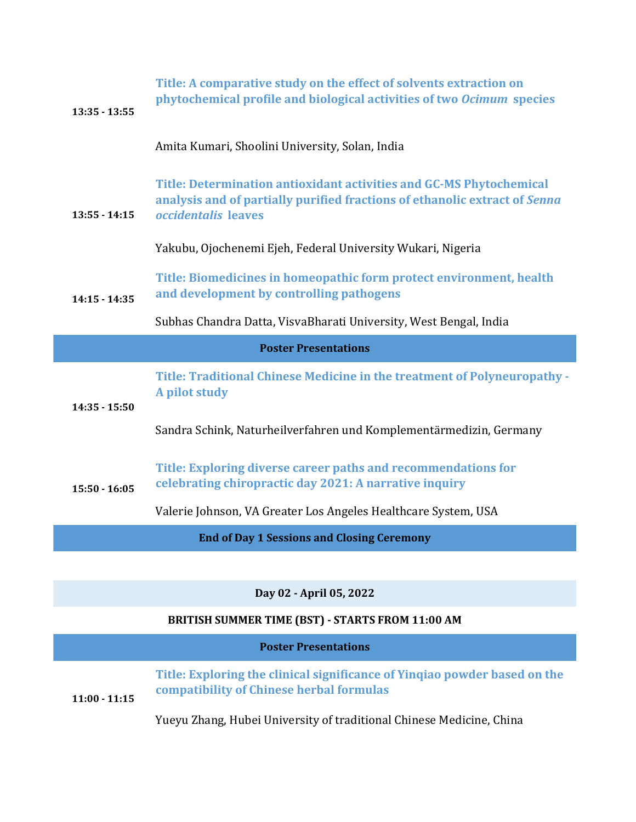| $13:35 - 13:55$                                   | Title: A comparative study on the effect of solvents extraction on<br>phytochemical profile and biological activities of two Ocimum species                                     |  |
|---------------------------------------------------|---------------------------------------------------------------------------------------------------------------------------------------------------------------------------------|--|
|                                                   | Amita Kumari, Shoolini University, Solan, India                                                                                                                                 |  |
| $13:55 - 14:15$                                   | Title: Determination antioxidant activities and GC-MS Phytochemical<br>analysis and of partially purified fractions of ethanolic extract of Senna<br><i>occidentalis</i> leaves |  |
|                                                   | Yakubu, Ojochenemi Ejeh, Federal University Wukari, Nigeria                                                                                                                     |  |
| $14:15 - 14:35$                                   | Title: Biomedicines in homeopathic form protect environment, health<br>and development by controlling pathogens                                                                 |  |
|                                                   | Subhas Chandra Datta, VisvaBharati University, West Bengal, India                                                                                                               |  |
| <b>Poster Presentations</b>                       |                                                                                                                                                                                 |  |
| $14:35 - 15:50$                                   | Title: Traditional Chinese Medicine in the treatment of Polyneuropathy -<br>A pilot study                                                                                       |  |
|                                                   | Sandra Schink, Naturheilverfahren und Komplementärmedizin, Germany                                                                                                              |  |
| $15:50 - 16:05$                                   | Title: Exploring diverse career paths and recommendations for<br>celebrating chiropractic day 2021: A narrative inquiry                                                         |  |
|                                                   | Valerie Johnson, VA Greater Los Angeles Healthcare System, USA                                                                                                                  |  |
| <b>End of Day 1 Sessions and Closing Ceremony</b> |                                                                                                                                                                                 |  |
|                                                   |                                                                                                                                                                                 |  |
| Day 02 - April 05, 2022                           |                                                                                                                                                                                 |  |
|                                                   | BRITISH SUMMER TIME (BST) - STARTS FROM 11:00 AM                                                                                                                                |  |
|                                                   | <b>Poster Presentations</b>                                                                                                                                                     |  |

**Title: Exploring the clinical significance of Yinqiao powder based on the compatibility of Chinese herbal formulas 11:00 - 11:15**

Yueyu Zhang, Hubei University of traditional Chinese Medicine, China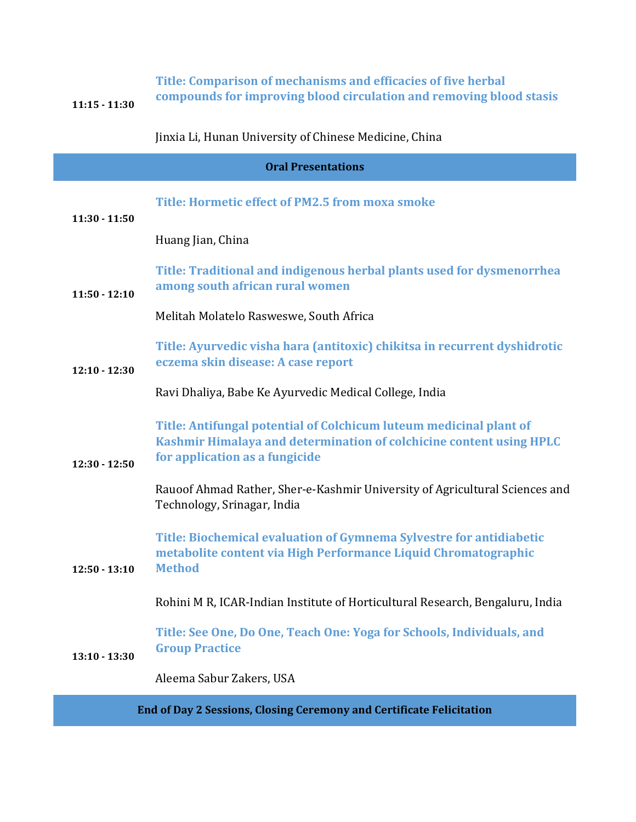| $11:15 - 11:30$                                                             | Title: Comparison of mechanisms and efficacies of five herbal<br>compounds for improving blood circulation and removing blood stasis                                        |  |
|-----------------------------------------------------------------------------|-----------------------------------------------------------------------------------------------------------------------------------------------------------------------------|--|
|                                                                             | Jinxia Li, Hunan University of Chinese Medicine, China                                                                                                                      |  |
| <b>Oral Presentations</b>                                                   |                                                                                                                                                                             |  |
| $11:30 - 11:50$                                                             | Title: Hormetic effect of PM2.5 from moxa smoke                                                                                                                             |  |
|                                                                             | Huang Jian, China                                                                                                                                                           |  |
| $11:50 - 12:10$                                                             | Title: Traditional and indigenous herbal plants used for dysmenorrhea<br>among south african rural women                                                                    |  |
|                                                                             | Melitah Molatelo Rasweswe, South Africa                                                                                                                                     |  |
| $12:10 - 12:30$                                                             | Title: Ayurvedic visha hara (antitoxic) chikitsa in recurrent dyshidrotic<br>eczema skin disease: A case report                                                             |  |
|                                                                             | Ravi Dhaliya, Babe Ke Ayurvedic Medical College, India                                                                                                                      |  |
| $12:30 - 12:50$                                                             | Title: Antifungal potential of Colchicum luteum medicinal plant of<br>Kashmir Himalaya and determination of colchicine content using HPLC<br>for application as a fungicide |  |
|                                                                             | Rauoof Ahmad Rather, Sher-e-Kashmir University of Agricultural Sciences and<br>Technology, Srinagar, India                                                                  |  |
| $12:50 - 13:10$                                                             | Title: Biochemical evaluation of Gymnema Sylvestre for antidiabetic<br>metabolite content via High Performance Liquid Chromatographic<br><b>Method</b>                      |  |
|                                                                             | Rohini M R, ICAR-Indian Institute of Horticultural Research, Bengaluru, India                                                                                               |  |
| $13:10 - 13:30$                                                             | Title: See One, Do One, Teach One: Yoga for Schools, Individuals, and<br><b>Group Practice</b>                                                                              |  |
|                                                                             | Aleema Sabur Zakers, USA                                                                                                                                                    |  |
| <b>End of Day 2 Sessions, Closing Ceremony and Certificate Felicitation</b> |                                                                                                                                                                             |  |